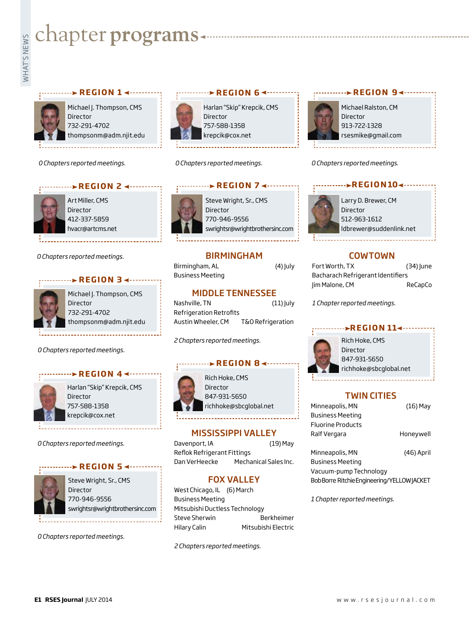# **Exampler programs**<br>Example:<br>Fig.

#### **REGION 1 <-----------**



Michael J. Thompson, CMS **Director** 732-291-4702 thompsonm@adm.njit.edu

*0 Chapters reported meetings.*



**REGION 2 4 ··········** 

Art Miller, CMS Director 412-337-5859 hvacr@artcms.net

*0 Chapters reported meetings.*

#### **REGION 3 <-------**



Michael J. Thompson, CMS Director 732-291-4702 thompsonm@adm.njit.edu

*0 Chapters reported meetings.*



Harlan "Skip" Krepcik, CMS Director 757-588-1358 krepcik@cox.net

*0 Chapters reported meetings.*

#### **REGION 5**



Steve Wright, Sr., CMS Director 770-946-9556 swrightsr@wrightbrothersinc.com

*0 Chapters reported meetings.*



Harlan "Skip" Krepcik, CMS Director 757-588-1358 krepcik@cox.net

*0 Chapters reported meetings.*

#### Steve Wright, Sr., CMS Director **REGION 7 <---------**

770-946-9556 swrightsr@wrightbrothersinc.com

#### BIRMINGHAM

Birmingham, AL (4) July Business Meeting

#### MIDDLE TENNESSEE

Nashville, TN (11) July Refrigeration Retrofits Austin Wheeler, CM T&O Refrigeration

*2 Chapters reported meetings.*

#### **REGION 8**



847-931-5650 richhoke@sbcglobal.net

#### MISSISSIPPI VALLEY

Davenport, IA (19) May Reflok Refrigerant Fittings Dan VerHeecke Mechanical Sales Inc.

#### FOX VALLEY

West Chicago, IL (6) March Business Meeting Mitsubishi Ductless Technology Steve Sherwin Berkheimer Hilary Calin Mitsubishi Electric

*2 Chapters reported meetings.*



Michael Ralston, CM Director 913-722-1328 rsesmike@gmail.com

**REGION 9∢---------**

*0 Chapters reported meetings.*

**REGION104 -------**

Larry D. Brewer, CM Director 512-963-1612 ldbrewer@suddenlink.net

#### COWTOWN

| Fort Worth, TX                    | (34) June |
|-----------------------------------|-----------|
| Bacharach Refrigerant Identifiers |           |
| Jim Malone, CM                    | ReCapCo   |

*1 Chapter reported meetings.*

#### **BEGION 114 ·······**



Rich Hoke, CMS Director 847-931-5650 richhoke@sbcglobal.net

#### TWIN CITIES

| Minneapolis, MN          | $(16)$ May |
|--------------------------|------------|
| <b>Business Meeting</b>  |            |
| <b>Fluorine Products</b> |            |
| Ralf Vergara             | Honeywell  |
|                          |            |
| Minneapolis, MN          | (46) April |
|                          |            |

Business Meeting Vacuum-pump Technology Bob Borre Ritchie Engineering/YELLOW JACKET

*1 Chapter reported meetings.*